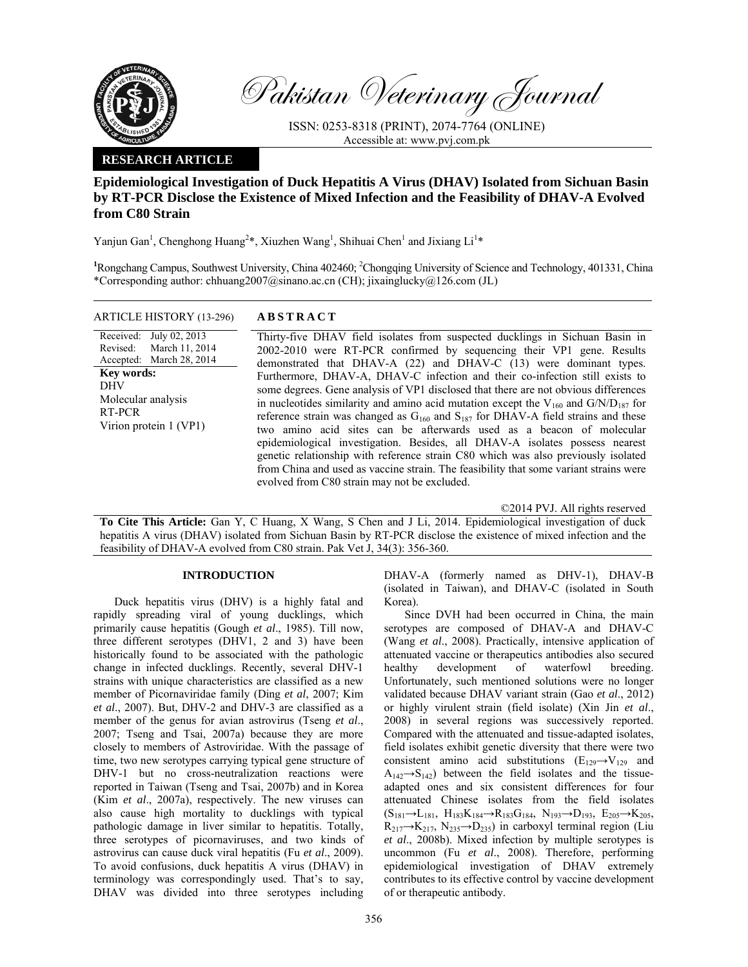

Pakistan Veterinary Journal

ISSN: 0253-8318 (PRINT), 2074-7764 (ONLINE) Accessible at: www.pvj.com.pk

## **RESEARCH ARTICLE**

# **Epidemiological Investigation of Duck Hepatitis A Virus (DHAV) Isolated from Sichuan Basin by RT-PCR Disclose the Existence of Mixed Infection and the Feasibility of DHAV-A Evolved from C80 Strain**

Yanjun Gan<sup>1</sup>, Chenghong Huang<sup>2\*</sup>, Xiuzhen Wang<sup>1</sup>, Shihuai Chen<sup>1</sup> and Jixiang Li<sup>1\*</sup>

<sup>1</sup>Rongchang Campus, Southwest University, China 402460; <sup>2</sup>Chongqing University of Science and Technology, 401331, China \*Corresponding author: chhuang2007@sinano.ac.cn (CH); jixainglucky@126.com (JL)

## ARTICLE HISTORY (13-296) **ABSTRACT**

Revised: Accepted: July 02, 2013 March 11, 2014 March 28, 2014 **Key words:**  DHV Molecular analysis RT-PCR Virion protein 1 (VP1)

Received:

 Thirty-five DHAV field isolates from suspected ducklings in Sichuan Basin in 2002-2010 were RT-PCR confirmed by sequencing their VP1 gene. Results demonstrated that DHAV-A (22) and DHAV-C (13) were dominant types. Furthermore, DHAV-A, DHAV-C infection and their co-infection still exists to some degrees. Gene analysis of VP1 disclosed that there are not obvious differences in nucleotides similarity and amino acid mutation except the  $V_{160}$  and  $G/N/D_{187}$  for reference strain was changed as  $G_{160}$  and  $S_{187}$  for DHAV-A field strains and these two amino acid sites can be afterwards used as a beacon of molecular epidemiological investigation. Besides, all DHAV-A isolates possess nearest genetic relationship with reference strain C80 which was also previously isolated from China and used as vaccine strain. The feasibility that some variant strains were evolved from C80 strain may not be excluded.

©2014 PVJ. All rights reserved

**To Cite This Article:** Gan Y, C Huang, X Wang, S Chen and J Li, 2014. Epidemiological investigation of duck hepatitis A virus (DHAV) isolated from Sichuan Basin by RT-PCR disclose the existence of mixed infection and the feasibility of DHAV-A evolved from C80 strain. Pak Vet J, 34(3): 356-360.

### **INTRODUCTION**

Duck hepatitis virus (DHV) is a highly fatal and rapidly spreading viral of young ducklings, which primarily cause hepatitis (Gough *et al*., 1985). Till now, three different serotypes (DHV1, 2 and 3) have been historically found to be associated with the pathologic change in infected ducklings. Recently, several DHV-1 strains with unique characteristics are classified as a new member of Picornaviridae family (Ding *et al*, 2007; Kim *et al*., 2007). But, DHV-2 and DHV-3 are classified as a member of the genus for avian astrovirus (Tseng *et al*., 2007; Tseng and Tsai, 2007a) because they are more closely to members of Astroviridae. With the passage of time, two new serotypes carrying typical gene structure of DHV-1 but no cross-neutralization reactions were reported in Taiwan (Tseng and Tsai, 2007b) and in Korea (Kim *et al*., 2007a), respectively. The new viruses can also cause high mortality to ducklings with typical pathologic damage in liver similar to hepatitis. Totally, three serotypes of picornaviruses, and two kinds of astrovirus can cause duck viral hepatitis (Fu *et al*., 2009). To avoid confusions, duck hepatitis A virus (DHAV) in terminology was correspondingly used. That's to say, DHAV was divided into three serotypes including

DHAV-A (formerly named as DHV-1), DHAV-B (isolated in Taiwan), and DHAV-C (isolated in South Korea).

Since DVH had been occurred in China, the main serotypes are composed of DHAV-A and DHAV-C (Wang *et al*., 2008). Practically, intensive application of attenuated vaccine or therapeutics antibodies also secured healthy development of waterfowl breeding. Unfortunately, such mentioned solutions were no longer validated because DHAV variant strain (Gao *et al*., 2012) or highly virulent strain (field isolate) (Xin Jin *et al*., 2008) in several regions was successively reported. Compared with the attenuated and tissue-adapted isolates, field isolates exhibit genetic diversity that there were two consistent amino acid substitutions  $(E_{129} \rightarrow V_{129}$  and  $A_{142} \rightarrow S_{142}$ ) between the field isolates and the tissueadapted ones and six consistent differences for four attenuated Chinese isolates from the field isolates  $(S_{181} \rightarrow L_{181}, H_{183}K_{184} \rightarrow R_{183}G_{184}, N_{193} \rightarrow D_{193}, E_{205} \rightarrow K_{205},$  $R_{217} \rightarrow K_{217}$ ,  $N_{235} \rightarrow D_{235}$ ) in carboxyl terminal region (Liu *et al*., 2008b). Mixed infection by multiple serotypes is uncommon (Fu *et al*., 2008). Therefore, performing epidemiological investigation of DHAV extremely contributes to its effective control by vaccine development of or therapeutic antibody.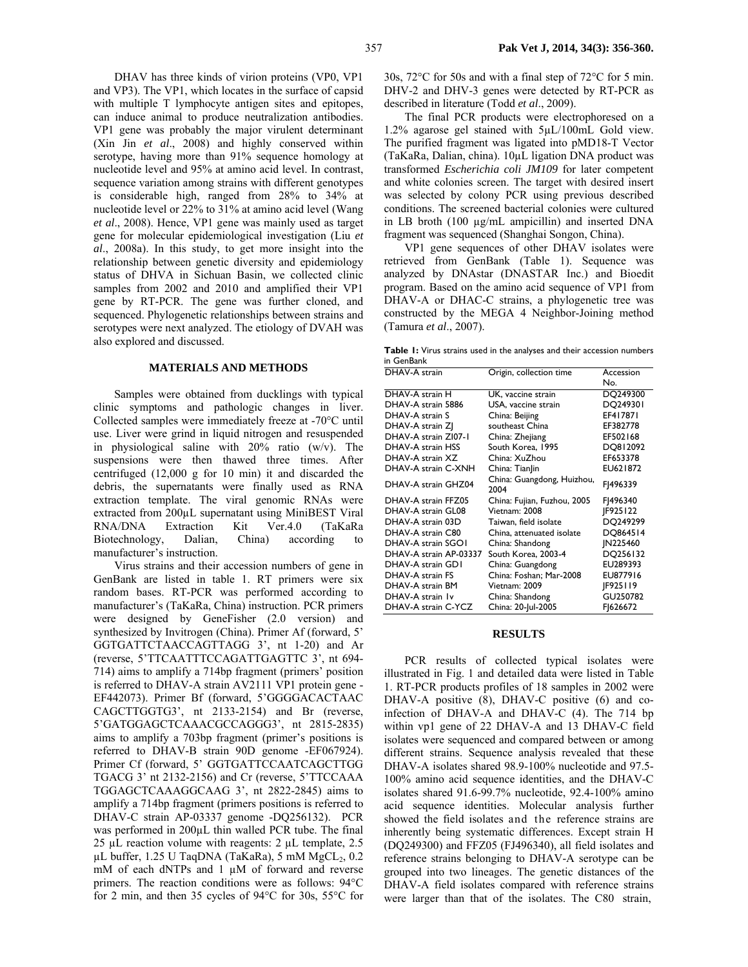DHAV has three kinds of virion proteins (VP0, VP1 and VP3). The VP1, which locates in the surface of capsid with multiple T lymphocyte antigen sites and epitopes, can induce animal to produce neutralization antibodies. VP1 gene was probably the major virulent determinant (Xin Jin *et al*., 2008) and highly conserved within serotype, having more than 91% sequence homology at nucleotide level and 95% at amino acid level. In contrast, sequence variation among strains with different genotypes is considerable high, ranged from 28% to 34% at nucleotide level or 22% to 31% at amino acid level (Wang *et al*., 2008). Hence, VP1 gene was mainly used as target gene for molecular epidemiological investigation (Liu *et al*., 2008a). In this study, to get more insight into the relationship between genetic diversity and epidemiology status of DHVA in Sichuan Basin, we collected clinic samples from 2002 and 2010 and amplified their VP1 gene by RT-PCR. The gene was further cloned, and sequenced. Phylogenetic relationships between strains and serotypes were next analyzed. The etiology of DVAH was also explored and discussed.

#### **MATERIALS AND METHODS**

Samples were obtained from ducklings with typical clinic symptoms and pathologic changes in liver. Collected samples were immediately freeze at -70°C until use. Liver were grind in liquid nitrogen and resuspended in physiological saline with 20% ratio (w/v). The suspensions were then thawed three times. After centrifuged (12,000 g for 10 min) it and discarded the debris, the supernatants were finally used as RNA extraction template. The viral genomic RNAs were extracted from 200µL supernatant using MiniBEST Viral RNA/DNA Extraction Kit Ver.4.0 (TaKaRa Biotechnology, Dalian, China) according to manufacturer's instruction.

Virus strains and their accession numbers of gene in GenBank are listed in table 1. RT primers were six random bases. RT-PCR was performed according to manufacturer's (TaKaRa, China) instruction. PCR primers were designed by GeneFisher (2.0 version) and synthesized by Invitrogen (China). Primer Af (forward, 5' GGTGATTCTAACCAGTTAGG 3', nt 1-20) and Ar (reverse, 5'TTCAATTTCCAGATTGAGTTC 3', nt 694- 714) aims to amplify a 714bp fragment (primers' position is referred to DHAV-A strain AV2111 VP1 protein gene - EF442073). Primer Bf (forward, 5'GGGGACACTAAC CAGCTTGGTG3', nt 2133-2154) and Br (reverse, 5'GATGGAGCTCAAACGCCAGGG3', nt 2815-2835) aims to amplify a 703bp fragment (primer's positions is referred to DHAV-B strain 90D genome -EF067924). Primer Cf (forward, 5' GGTGATTCCAATCAGCTTGG TGACG 3' nt 2132-2156) and Cr (reverse, 5'TTCCAAA TGGAGCTCAAAGGCAAG 3', nt 2822-2845) aims to amplify a 714bp fragment (primers positions is referred to DHAV-C strain AP-03337 genome -DQ256132). PCR was performed in 200µL thin walled PCR tube. The final 25 µL reaction volume with reagents: 2 µL template, 2.5 µL buffer, 1.25 U TaqDNA (TaKaRa), 5 mM  $MgCL_2$ , 0.2 mM of each dNTPs and 1  $\mu$ M of forward and reverse primers. The reaction conditions were as follows: 94°C for 2 min, and then 35 cycles of 94°C for 30s, 55°C for

30s, 72°C for 50s and with a final step of 72°C for 5 min. DHV-2 and DHV-3 genes were detected by RT-PCR as described in literature (Todd *et al*., 2009).

The final PCR products were electrophoresed on a 1.2% agarose gel stained with 5µL/100mL Gold view. The purified fragment was ligated into pMD18-T Vector (TaKaRa, Dalian, china). 10µL ligation DNA product was transformed *Escherichia coli JM109* for later competent and white colonies screen. The target with desired insert was selected by colony PCR using previous described conditions. The screened bacterial colonies were cultured in LB broth (100 µg/mL ampicillin) and inserted DNA fragment was sequenced (Shanghai Songon, China).

VP1 gene sequences of other DHAV isolates were retrieved from GenBank (Table 1). Sequence was analyzed by DNAstar (DNASTAR Inc.) and Bioedit program. Based on the amino acid sequence of VP1 from DHAV-A or DHAC-C strains, a phylogenetic tree was constructed by the MEGA 4 Neighbor-Joining method (Tamura *et al*., 2007).

**Table 1:** Virus strains used in the analyses and their accession numbers in GenBank

| Origin, collection time            | Accession       |
|------------------------------------|-----------------|
|                                    | No.             |
| UK, vaccine strain                 | DQ249300        |
| USA, vaccine strain                | DQ249301        |
| China: Beijing                     | EF417871        |
| southeast China                    | EF382778        |
| China: Zhejiang                    | EF502168        |
| South Korea, 1995                  | DQ812092        |
| China: XuZhou                      | EF653378        |
| China: Tianlin                     | EU621872        |
| China: Guangdong, Huizhou,<br>2004 | FJ496339        |
| China: Fujian, Fuzhou, 2005        | FJ496340        |
| Vietnam: 2008                      | IF925122        |
| Taiwan, field isolate              | DQ249299        |
| China, attenuated isolate          | DQ864514        |
| China: Shandong                    | JN225460        |
| South Korea, 2003-4                | DQ256132        |
| China: Guangdong                   | EU289393        |
| China: Foshan; Mar-2008            | EU877916        |
| Vietnam: 2009                      | <b>IF925119</b> |
| China: Shandong                    | GU250782        |
| China: 20-Jul-2005                 | F1626672        |
|                                    |                 |

#### **RESULTS**

PCR results of collected typical isolates were illustrated in Fig. 1 and detailed data were listed in Table 1. RT-PCR products profiles of 18 samples in 2002 were DHAV-A positive (8), DHAV-C positive (6) and coinfection of DHAV-A and DHAV-C (4). The 714 bp within vp1 gene of 22 DHAV-A and 13 DHAV-C field isolates were sequenced and compared between or among different strains. Sequence analysis revealed that these DHAV-A isolates shared 98.9-100% nucleotide and 97.5- 100% amino acid sequence identities, and the DHAV-C isolates shared 91.6-99.7% nucleotide, 92.4-100% amino acid sequence identities. Molecular analysis further showed the field isolates and the reference strains are inherently being systematic differences. Except strain H (DQ249300) and FFZ05 (FJ496340), all field isolates and reference strains belonging to DHAV-A serotype can be grouped into two lineages. The genetic distances of the DHAV-A field isolates compared with reference strains were larger than that of the isolates. The C80 strain,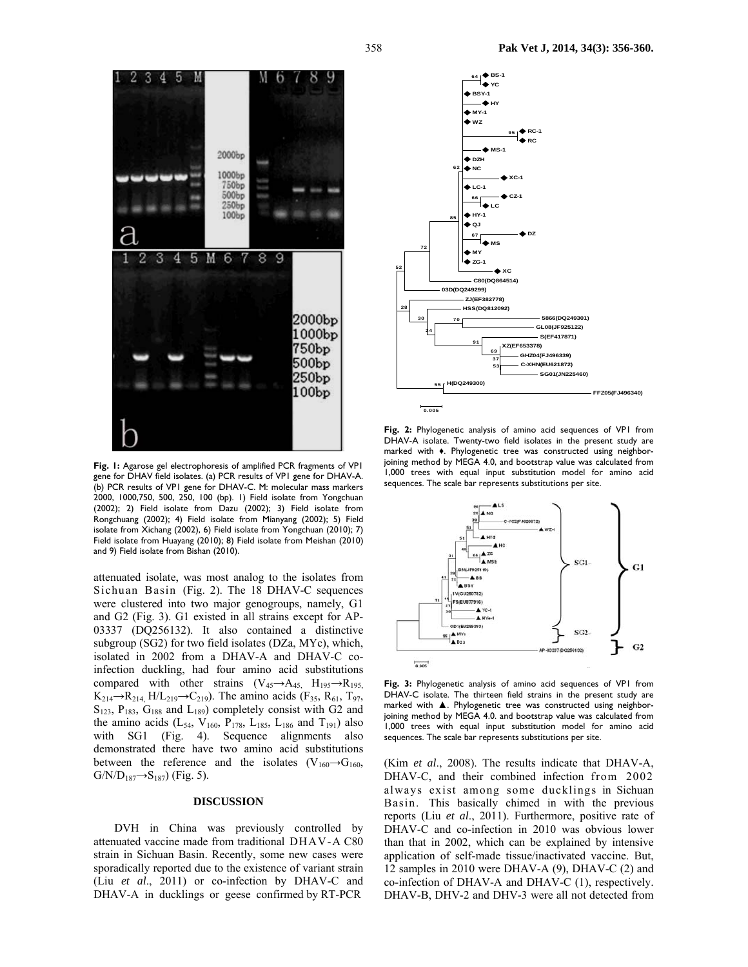



**Fig. 1:** Agarose gel electrophoresis of amplified PCR fragments of VP1 gene for DHAV field isolates. (a) PCR results of VP1 gene for DHAV-A. (b) PCR results of VP1 gene for DHAV-C. M: molecular mass markers 2000, 1000,750, 500, 250, 100 (bp). 1) Field isolate from Yongchuan (2002); 2) Field isolate from Dazu (2002); 3) Field isolate from Rongchuang (2002); 4) Field isolate from Mianyang (2002); 5) Field isolate from Xichang (2002), 6) Field isolate from Yongchuan (2010); 7) Field isolate from Huayang (2010); 8) Field isolate from Meishan (2010) and 9) Field isolate from Bishan (2010).

attenuated isolate, was most analog to the isolates from Sichuan Basin (Fig. 2). The 18 DHAV-C sequences were clustered into two major genogroups, namely, G1 and G2 (Fig. 3). G1 existed in all strains except for AP-03337 (DQ256132). It also contained a distinctive subgroup (SG2) for two field isolates (DZa, MYc), which, isolated in 2002 from a DHAV-A and DHAV-C coinfection duckling, had four amino acid substitutions compared with other strains  $(V_{45} \rightarrow A_{45}$ ,  $H_{195} \rightarrow R_{195}$ ,  $K_{214} \rightarrow R_{214}$ , H/L<sub>219</sub> $\rightarrow$ C<sub>219</sub>). The amino acids (F<sub>35</sub>, R<sub>61</sub>, T<sub>97</sub>,  $S<sub>123</sub>$ ,  $P<sub>183</sub>$ ,  $G<sub>188</sub>$  and  $L<sub>189</sub>$ ) completely consist with G2 and the amino acids (L<sub>54</sub>, V<sub>160</sub>, P<sub>178</sub>, L<sub>185</sub>, L<sub>186</sub> and T<sub>191</sub>) also with SG1 (Fig. 4). Sequence alignments also demonstrated there have two amino acid substitutions between the reference and the isolates (V<sub>160</sub> $\rightarrow$ G<sub>160</sub>,  $G/N/D_{187} \rightarrow S_{187}$  (Fig. 5).

#### **DISCUSSION**

DVH in China was previously controlled by attenuated vaccine made from traditional DHAV-A C80 strain in Sichuan Basin. Recently, some new cases were sporadically reported due to the existence of variant strain (Liu *et al*., 2011) or co-infection by DHAV-C and DHAV-A in ducklings or geese confirmed by RT-PCR



**Fig. 2:** Phylogenetic analysis of amino acid sequences of VP1 from DHAV-A isolate. Twenty-two field isolates in the present study are marked with ♦. Phylogenetic tree was constructed using neighborjoining method by MEGA 4.0, and bootstrap value was calculated from 1,000 trees with equal input substitution model for amino acid sequences. The scale bar represents substitutions per site.



**Fig. 3:** Phylogenetic analysis of amino acid sequences of VP1 from DHAV-C isolate. The thirteen field strains in the present study are marked with ▲. Phylogenetic tree was constructed using neighborjoining method by MEGA 4.0. and bootstrap value was calculated from 1,000 trees with equal input substitution model for amino acid sequences. The scale bar represents substitutions per site.

(Kim *et al*., 2008). The results indicate that DHAV-A, DHAV-C, and their combined infection from 2002 always exist among some ducklings in Sichuan Basin. This basically chimed in with the previous reports (Liu *et al*., 2011). Furthermore, positive rate of DHAV-C and co-infection in 2010 was obvious lower than that in 2002, which can be explained by intensive application of self-made tissue/inactivated vaccine. But, 12 samples in 2010 were DHAV-A (9), DHAV-C (2) and co-infection of DHAV-A and DHAV-C (1), respectively. DHAV-B, DHV-2 and DHV-3 were all not detected from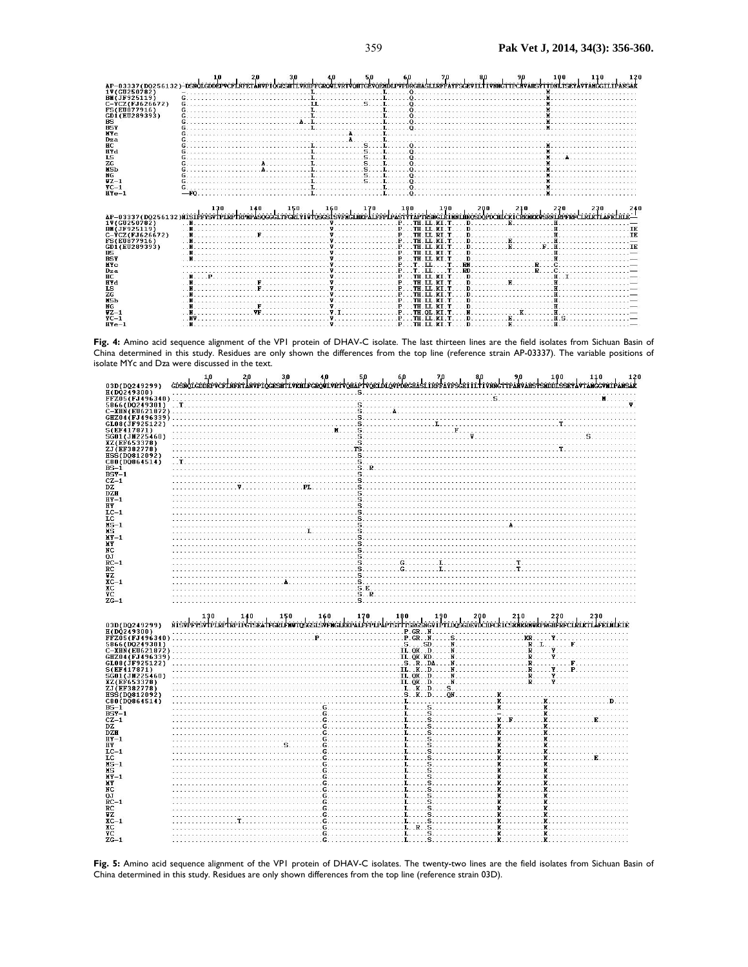|                                                                                                                                                                                                                         |           |                                                                                                                                                                                                                                                                                                  |                                              |                                                                                 |                                          |                                                                                                                                                                                                                                                                                                            |                                                                                                                                                                                                                               | 120 |
|-------------------------------------------------------------------------------------------------------------------------------------------------------------------------------------------------------------------------|-----------|--------------------------------------------------------------------------------------------------------------------------------------------------------------------------------------------------------------------------------------------------------------------------------------------------|----------------------------------------------|---------------------------------------------------------------------------------|------------------------------------------|------------------------------------------------------------------------------------------------------------------------------------------------------------------------------------------------------------------------------------------------------------------------------------------------------------|-------------------------------------------------------------------------------------------------------------------------------------------------------------------------------------------------------------------------------|-----|
| AP-03337(DO256132)-DSNOLGDDEPVCFLNFETANVPIOGESHTLVKHFFGROVLVRTVOHTGEVOENDLPVPDRGHASLLRFFAYFSGEVILTIVNNGTTPCHVAHSYTTDNLTSEYAVTANGGILIPANSAI                                                                              |           |                                                                                                                                                                                                                                                                                                  |                                              |                                                                                 |                                          |                                                                                                                                                                                                                                                                                                            |                                                                                                                                                                                                                               |     |
| 1V(GU250782)                                                                                                                                                                                                            |           |                                                                                                                                                                                                                                                                                                  |                                              |                                                                                 |                                          |                                                                                                                                                                                                                                                                                                            |                                                                                                                                                                                                                               |     |
| <b>BM(JF925119)</b>                                                                                                                                                                                                     |           |                                                                                                                                                                                                                                                                                                  |                                              |                                                                                 |                                          | $\mathbf{L}$ and $\mathbf{L}$ and $\mathbf{L}$ and $\mathbf{R}$ and $\mathbf{R}$ and $\mathbf{R}$ and $\mathbf{R}$ and $\mathbf{R}$ and $\mathbf{R}$ and $\mathbf{R}$ and $\mathbf{R}$ and $\mathbf{R}$ and $\mathbf{R}$ and $\mathbf{R}$ and $\mathbf{R}$ and $\mathbf{R}$ and $\mathbf{R}$ and           |                                                                                                                                                                                                                               |     |
| $C-FCZ$ (FJ626672)                                                                                                                                                                                                      |           |                                                                                                                                                                                                                                                                                                  |                                              |                                                                                 |                                          |                                                                                                                                                                                                                                                                                                            |                                                                                                                                                                                                                               |     |
| FS(EU877916)                                                                                                                                                                                                            |           | $\mathbf{L}$ . The contract of the contract of $\mathbf{L}$ , and $\mathbf{L}$ , and $\mathbf{L}$ , and $\mathbf{L}$ , and $\mathbf{L}$ , and $\mathbf{L}$ , and $\mathbf{L}$ , and $\mathbf{L}$ , and $\mathbf{L}$ , and $\mathbf{L}$ , and $\mathbf{L}$ , and $\mathbf{L}$ , an                |                                              |                                                                                 |                                          | $\alpha$ . The contract of the contract of the contract of the contract of the contract of the contract of the contract of the contract of the contract of the contract of the contract of the contract of the contract of the co                                                                          |                                                                                                                                                                                                                               |     |
| GD1(EU289393)                                                                                                                                                                                                           |           |                                                                                                                                                                                                                                                                                                  |                                              |                                                                                 |                                          | . The contract of the contract of $\alpha$ , $\alpha$ , $\alpha$ , $\alpha$ , $\alpha$ , $\alpha$ , $\alpha$ , $\alpha$ , $\alpha$ , $\alpha$ , $\alpha$                                                                                                                                                   |                                                                                                                                                                                                                               |     |
| <b>RS</b>                                                                                                                                                                                                               |           |                                                                                                                                                                                                                                                                                                  |                                              |                                                                                 |                                          |                                                                                                                                                                                                                                                                                                            |                                                                                                                                                                                                                               |     |
| <b>BSY</b>                                                                                                                                                                                                              |           |                                                                                                                                                                                                                                                                                                  |                                              |                                                                                 |                                          |                                                                                                                                                                                                                                                                                                            |                                                                                                                                                                                                                               |     |
| <b>MYC</b>                                                                                                                                                                                                              |           |                                                                                                                                                                                                                                                                                                  |                                              |                                                                                 |                                          |                                                                                                                                                                                                                                                                                                            |                                                                                                                                                                                                                               |     |
| Dza                                                                                                                                                                                                                     |           |                                                                                                                                                                                                                                                                                                  |                                              |                                                                                 |                                          |                                                                                                                                                                                                                                                                                                            |                                                                                                                                                                                                                               |     |
| HC                                                                                                                                                                                                                      |           | <u>in the second contract of the second second second second second second second second second second second second</u>                                                                                                                                                                         |                                              |                                                                                 |                                          |                                                                                                                                                                                                                                                                                                            |                                                                                                                                                                                                                               |     |
| <b>HYd</b>                                                                                                                                                                                                              |           |                                                                                                                                                                                                                                                                                                  |                                              |                                                                                 |                                          |                                                                                                                                                                                                                                                                                                            |                                                                                                                                                                                                                               |     |
| <b>IS</b>                                                                                                                                                                                                               |           |                                                                                                                                                                                                                                                                                                  |                                              |                                                                                 |                                          |                                                                                                                                                                                                                                                                                                            |                                                                                                                                                                                                                               |     |
| ZG                                                                                                                                                                                                                      |           |                                                                                                                                                                                                                                                                                                  |                                              |                                                                                 |                                          |                                                                                                                                                                                                                                                                                                            |                                                                                                                                                                                                                               |     |
|                                                                                                                                                                                                                         |           |                                                                                                                                                                                                                                                                                                  |                                              |                                                                                 |                                          |                                                                                                                                                                                                                                                                                                            |                                                                                                                                                                                                                               |     |
| <b>HSb</b>                                                                                                                                                                                                              |           |                                                                                                                                                                                                                                                                                                  |                                              |                                                                                 |                                          |                                                                                                                                                                                                                                                                                                            |                                                                                                                                                                                                                               |     |
| NG.                                                                                                                                                                                                                     |           |                                                                                                                                                                                                                                                                                                  | $\mathbf{L}$ . $\mathbf{S}$ . $\mathbf{L}$ . | 1.1.1                                                                           |                                          |                                                                                                                                                                                                                                                                                                            |                                                                                                                                                                                                                               |     |
| $1Z-1$                                                                                                                                                                                                                  |           |                                                                                                                                                                                                                                                                                                  |                                              |                                                                                 |                                          |                                                                                                                                                                                                                                                                                                            |                                                                                                                                                                                                                               |     |
| $YC-1$                                                                                                                                                                                                                  |           |                                                                                                                                                                                                                                                                                                  |                                              |                                                                                 |                                          |                                                                                                                                                                                                                                                                                                            |                                                                                                                                                                                                                               |     |
| $HPe-1$                                                                                                                                                                                                                 |           |                                                                                                                                                                                                                                                                                                  |                                              |                                                                                 |                                          |                                                                                                                                                                                                                                                                                                            |                                                                                                                                                                                                                               |     |
|                                                                                                                                                                                                                         |           |                                                                                                                                                                                                                                                                                                  |                                              |                                                                                 |                                          |                                                                                                                                                                                                                                                                                                            |                                                                                                                                                                                                                               |     |
|                                                                                                                                                                                                                         |           |                                                                                                                                                                                                                                                                                                  |                                              | 170                                                                             | $\begin{bmatrix} 180 \\ 0 \end{bmatrix}$ | 200                                                                                                                                                                                                                                                                                                        |                                                                                                                                                                                                                               |     |
| 2 130 140 150 170 180 180 190 200 210 220 230 180<br>^AP-03337(DQ256132)NISIP <del>FYSVIPLRPNPMPMSQGGGLITFGRIVIU</del> QSGSISVFNGIRRPNE <del>NTPPLPASTYTAPTRSNGIEINNIMEQSDQPDCHLCKICKKMKVSRNIRPFRFCIRIKTIAFRLAIE-</del> |           |                                                                                                                                                                                                                                                                                                  |                                              |                                                                                 |                                          |                                                                                                                                                                                                                                                                                                            |                                                                                                                                                                                                                               |     |
| 1V(GU250782)                                                                                                                                                                                                            | $\cdot$ N |                                                                                                                                                                                                                                                                                                  |                                              |                                                                                 |                                          | $\mathbf{v}$ of $\mathbf{v}$ of $\mathbf{v}$ of $\mathbf{v}$ of $\mathbf{v}$ of $\mathbf{v}$ of $\mathbf{v}$ of $\mathbf{v}$ of $\mathbf{v}$ of $\mathbf{v}$ of $\mathbf{v}$ of $\mathbf{v}$ of $\mathbf{v}$ of $\mathbf{v}$ of $\mathbf{v}$ of $\mathbf{v}$ of $\mathbf{v}$ of $\mathbf{v}$ of $\mathbf{$ |                                                                                                                                                                                                                               |     |
| <b>BM(JF925119)</b>                                                                                                                                                                                                     |           |                                                                                                                                                                                                                                                                                                  |                                              |                                                                                 |                                          | $\mathbf{v}$ . The state $\mathbf{v}$ is the state $\mathbf{v}$ in $\mathbf{v}$ is the state $\mathbf{v}$ in $\mathbf{F}$ . The state $\mathbf{F}$ is the state $\mathbf{v}$ is the state $\mathbf{v}$ is the state $\mathbf{v}$ is the state $\mathbf{v}$ is the state                                    |                                                                                                                                                                                                                               |     |
| $C - YCZ(FJ626672)$                                                                                                                                                                                                     |           | $\mathbf{F}$ . The set of $\mathbf{F}$ is a set of $\mathbf{F}$ is a set of $\mathbf{F}$ is a set of $\mathbf{F}$ is a set of $\mathbf{F}$ is a set of $\mathbf{F}$ is a set of $\mathbf{F}$ is a set of $\mathbf{F}$ is a set of $\mathbf{F}$ is a set of $\mathbf{F}$ i                        |                                              |                                                                                 |                                          |                                                                                                                                                                                                                                                                                                            |                                                                                                                                                                                                                               |     |
| <b>FS(EU877916)</b>                                                                                                                                                                                                     |           |                                                                                                                                                                                                                                                                                                  |                                              |                                                                                 |                                          |                                                                                                                                                                                                                                                                                                            |                                                                                                                                                                                                                               |     |
| GD1(EU289393)                                                                                                                                                                                                           |           | $\mathbf{v}$ . The state of the state of $\mathbf{v}$ , $\mathbf{v}$ , $\mathbf{v}$ , $\mathbf{v}$ , $\mathbf{v}$ , $\mathbf{v}$ , $\mathbf{v}$ , $\mathbf{v}$                                                                                                                                   |                                              |                                                                                 | KT T                                     | $D_1, \ldots, D_n, E_1, \ldots, F_n, H_1, \ldots, H_n, \ldots, H_n$                                                                                                                                                                                                                                        |                                                                                                                                                                                                                               |     |
| BS                                                                                                                                                                                                                      |           |                                                                                                                                                                                                                                                                                                  |                                              |                                                                                 |                                          |                                                                                                                                                                                                                                                                                                            |                                                                                                                                                                                                                               |     |
| <b>BSY</b>                                                                                                                                                                                                              |           |                                                                                                                                                                                                                                                                                                  |                                              |                                                                                 |                                          | $\mathbf{D}$ . The contract of $\mathbf{H}$ is a set of $\mathbf{H}$ is a set of $\mathbf{H}$ is a set of $\mathbf{H}$ is a set of $\mathbf{H}$ is a set of $\mathbf{H}$ is a set of $\mathbf{H}$ is a set of $\mathbf{H}$ is a set of $\mathbf{H}$ is a set of $\mathbf{$                                 |                                                                                                                                                                                                                               |     |
| NY <sub>C</sub>                                                                                                                                                                                                         |           | $\mathbf{v}$ . The $\mathbf{r}$ - $\mathbf{r}$ - $\mathbf{r}$ - $\mathbf{r}$ - $\mathbf{r}$ - $\mathbf{r}$ - $\mathbf{r}$ - $\mathbf{r}$ - $\mathbf{r}$ - $\mathbf{r}$                                                                                                                           |                                              |                                                                                 | T                                        |                                                                                                                                                                                                                                                                                                            | <br> -<br>  2010    2010    2010    2010    2010    2010    2010    2010    2010    2010    2010    2010    2010    2010                                                                                                      |     |
| Dza                                                                                                                                                                                                                     |           | $\mathbf{v}$ . The set of $\mathbf{v}$ is a set of $\mathbf{v}$ is a set of $\mathbf{v}$ is a set of $\mathbf{v}$ is a set of $\mathbf{v}$ is a set of $\mathbf{v}$ is a set of $\mathbf{v}$ is a set of $\mathbf{v}$ is a set of $\mathbf{v}$ is a set of $\mathbf{v}$ i                        |                                              |                                                                                 |                                          | $T \cdot RD$ . $\ldots$ $R \cdot C \cdot C$                                                                                                                                                                                                                                                                |                                                                                                                                                                                                                               |     |
| HC.                                                                                                                                                                                                                     |           |                                                                                                                                                                                                                                                                                                  |                                              |                                                                                 |                                          | $\mathbf{v}$ . THE ILKET DECISION IS THE LET $\mathbf{v}$ . THE LET $\mathbf{v}$ be a set of $\mathbf{F}$ . The LET $\mathbf{v}$ becomes a set of $\mathbf{F}$ . If $\mathbf{F}$ is a set of $\mathbf{F}$ is a set of $\mathbf{F}$ is a set of $\mathbf{F}$ is a set                                       |                                                                                                                                                                                                                               |     |
| <b>HYd</b>                                                                                                                                                                                                              |           |                                                                                                                                                                                                                                                                                                  |                                              | $\mathbf{v}$ , we have the set of $\mathbf{p}$ and $\mathbf{v}$<br><b>TH.LL</b> |                                          | $\mathbf{D}$ and $\mathbf{E}$ and $\mathbf{E}$ and $\mathbf{E}$ and $\mathbf{E}$ and $\mathbf{E}$ and $\mathbf{E}$ and $\mathbf{E}$ and $\mathbf{E}$ and $\mathbf{E}$ and $\mathbf{E}$ and $\mathbf{E}$ and $\mathbf{E}$ and $\mathbf{E}$ and $\mathbf{E}$ and $\mathbf{E}$ and $\mathbf{E}$ and           |                                                                                                                                                                                                                               |     |
| <b>IS</b>                                                                                                                                                                                                               |           |                                                                                                                                                                                                                                                                                                  |                                              |                                                                                 | KT T                                     |                                                                                                                                                                                                                                                                                                            |                                                                                                                                                                                                                               |     |
| ZG                                                                                                                                                                                                                      |           |                                                                                                                                                                                                                                                                                                  |                                              |                                                                                 | KT T                                     | $\mathbf{D}$ . The contract of the contract of $\mathbf{H}$ is a contract of the contract of the contract of the contract of the contract of the contract of the contract of the contract of the contract of the contract of the cont                                                                      |                                                                                                                                                                                                                               |     |
|                                                                                                                                                                                                                         |           | $\mathbf{v}$ and $\mathbf{v}$ and $\mathbf{v}$ and $\mathbf{v}$ and $\mathbf{v}$ and $\mathbf{v}$ and $\mathbf{v}$ and $\mathbf{v}$ and $\mathbf{v}$ and $\mathbf{v}$ and $\mathbf{v}$ and $\mathbf{v}$ and $\mathbf{v}$ and $\mathbf{v}$ and $\mathbf{v}$ and $\mathbf{v}$ and $\mathbf{v}$ and |                                              |                                                                                 |                                          | $\blacksquare$                                                                                                                                                                                                                                                                                             |                                                                                                                                                                                                                               |     |
| <b>HSb</b>                                                                                                                                                                                                              |           |                                                                                                                                                                                                                                                                                                  |                                              |                                                                                 |                                          |                                                                                                                                                                                                                                                                                                            |                                                                                                                                                                                                                               |     |
| NG.                                                                                                                                                                                                                     |           |                                                                                                                                                                                                                                                                                                  |                                              |                                                                                 | KT T                                     | George Contract of the Contract of the True Contract of the True Contract of the True Contract of the True Contract of the True Contract of the True Contract of the True Contract of the True Contract of the True Contract o                                                                             | 연산 연산 연산 연산 연산 연산 연산 연                                                                                                                                                                                                        |     |
| $UZ - 1$                                                                                                                                                                                                                |           | $\mathbf{v}$ . The CLKE T and $\mathbf{v}$ is a set of $\mathbf{v}$ is a set of $\mathbf{v}$ is a set of $\mathbf{v}$ is a set of $\mathbf{v}$ . The CLKE T                                                                                                                                      |                                              |                                                                                 |                                          |                                                                                                                                                                                                                                                                                                            |                                                                                                                                                                                                                               |     |
| $TC-1$<br>$HPe-1$                                                                                                                                                                                                       |           | $\mathbf{W}$ and $\mathbf{V}$ are the set of $\mathbf{W}$ and $\mathbf{V}$ are the set of $\mathbf{W}$ and $\mathbf{V}$ are the set of $\mathbf{W}$ and $\mathbf{V}$ are the set of $\mathbf{W}$ and $\mathbf{V}$ are the set of $\mathbf{W}$ and $\mathbf{V}$ are the set of                    |                                              |                                                                                 |                                          | $\mathbf{D}$ and $\mathbf{E}$ and $\mathbf{E}$ and $\mathbf{E}$ and $\mathbf{E}$ and $\mathbf{E}$ and $\mathbf{E}$                                                                                                                                                                                         | $H$ S and $H$ and $H$ and $H$ and $H$ and $H$ and $H$ and $H$ and $H$ and $H$ and $H$ and $H$ and $H$ and $H$ and $H$ and $H$ and $H$ and $H$ and $H$ and $H$ and $H$ and $H$ and $H$ and $H$ and $H$ and $H$ and $H$ and $H$ |     |

**Fig. 4:** Amino acid sequence alignment of the VP1 protein of DHAV-C isolate. The last thirteen lines are the field isolates from Sichuan Basin of China determined in this study. Residues are only shown the differences from the top line (reference strain AP-03337). The variable positions of



**Fig. 5:** Amino acid sequence alignment of the VP1 protein of DHAV-C isolates. The twenty-two lines are the field isolates from Sichuan Basin of China determined in this study. Residues are only shown differences from the top line (reference strain 03D).